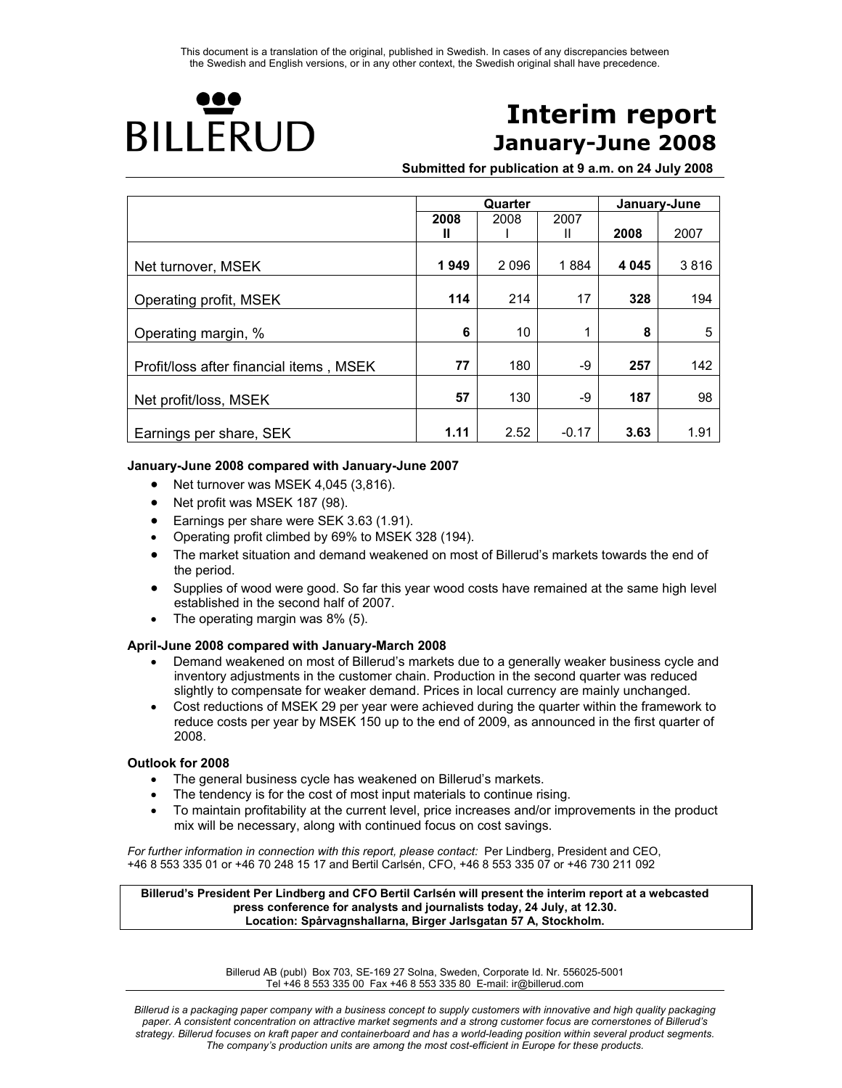

# **Interim report January-June 2008**

**Submitted for publication at 9 a.m. on 24 July 2008**

|                                         |      | Quarter | January-June |         |      |
|-----------------------------------------|------|---------|--------------|---------|------|
|                                         | 2008 | 2008    | 2007         |         |      |
|                                         | Ш    |         | Ш            | 2008    | 2007 |
|                                         |      |         |              |         |      |
| Net turnover, MSEK                      | 1949 | 2096    | 1884         | 4 0 4 5 | 3816 |
|                                         |      |         |              |         |      |
| Operating profit, MSEK                  | 114  | 214     | 17           | 328     | 194  |
| Operating margin, %                     | 6    | 10      | 1            | 8       | 5    |
|                                         |      |         |              |         |      |
| Profit/loss after financial items, MSEK | 77   | 180     | -9           | 257     | 142  |
|                                         | 57   | 130     | -9           | 187     | 98   |
| Net profit/loss, MSEK                   |      |         |              |         |      |
| Earnings per share, SEK                 | 1.11 | 2.52    | $-0.17$      | 3.63    | 1.91 |

### **January-June 2008 compared with January-June 2007**

- Net turnover was MSEK 4,045 (3,816).
- Net profit was MSEK 187 (98).
- Earnings per share were SEK 3.63 (1.91).
- Operating profit climbed by 69% to MSEK 328 (194).
- The market situation and demand weakened on most of Billerud's markets towards the end of the period.
- Supplies of wood were good. So far this year wood costs have remained at the same high level established in the second half of 2007.
- The operating margin was 8% (5).

#### **April-June 2008 compared with January-March 2008**

- Demand weakened on most of Billerud's markets due to a generally weaker business cycle and inventory adjustments in the customer chain. Production in the second quarter was reduced slightly to compensate for weaker demand. Prices in local currency are mainly unchanged.
- Cost reductions of MSEK 29 per year were achieved during the quarter within the framework to reduce costs per year by MSEK 150 up to the end of 2009, as announced in the first quarter of 2008.

#### **Outlook for 2008**

- The general business cycle has weakened on Billerud's markets.
- The tendency is for the cost of most input materials to continue rising.
- To maintain profitability at the current level, price increases and/or improvements in the product mix will be necessary, along with continued focus on cost savings.

*For further information in connection with this report, please contact:* Per Lindberg, President and CEO, +46 8 553 335 01 or +46 70 248 15 17 and Bertil Carlsén, CFO, +46 8 553 335 07 or +46 730 211 092

**Billerud's President Per Lindberg and CFO Bertil Carlsén will present the interim report at a webcasted press conference for analysts and journalists today, 24 July, at 12.30. Location: Spårvagnshallarna, Birger Jarlsgatan 57 A, Stockholm.** 

> Billerud AB (publ) Box 703, SE-169 27 Solna, Sweden, Corporate Id. Nr. 556025-5001 Tel +46 8 553 335 00 Fax +46 8 553 335 80 E-mail: ir@billerud.com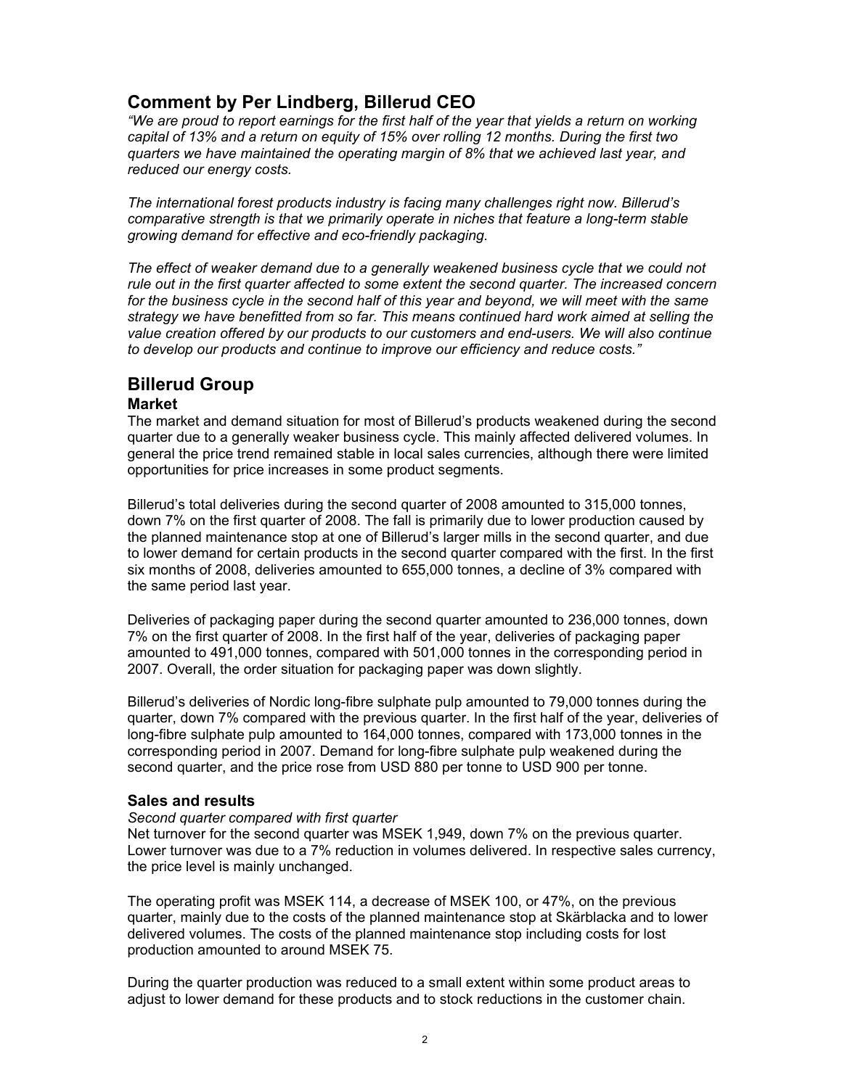# **Comment by Per Lindberg, Billerud CEO**

*"We are proud to report earnings for the first half of the year that yields a return on working capital of 13% and a return on equity of 15% over rolling 12 months. During the first two quarters we have maintained the operating margin of 8% that we achieved last year, and reduced our energy costs.* 

*The international forest products industry is facing many challenges right now. Billerud's comparative strength is that we primarily operate in niches that feature a long-term stable growing demand for effective and eco-friendly packaging.* 

*The effect of weaker demand due to a generally weakened business cycle that we could not rule out in the first quarter affected to some extent the second quarter. The increased concern for the business cycle in the second half of this year and beyond, we will meet with the same strategy we have benefitted from so far. This means continued hard work aimed at selling the value creation offered by our products to our customers and end-users. We will also continue to develop our products and continue to improve our efficiency and reduce costs."* 

# **Billerud Group**

# **Market**

The market and demand situation for most of Billerud's products weakened during the second quarter due to a generally weaker business cycle. This mainly affected delivered volumes. In general the price trend remained stable in local sales currencies, although there were limited opportunities for price increases in some product segments.

Billerud's total deliveries during the second quarter of 2008 amounted to 315,000 tonnes, down 7% on the first quarter of 2008. The fall is primarily due to lower production caused by the planned maintenance stop at one of Billerud's larger mills in the second quarter, and due to lower demand for certain products in the second quarter compared with the first. In the first six months of 2008, deliveries amounted to 655,000 tonnes, a decline of 3% compared with the same period last year.

Deliveries of packaging paper during the second quarter amounted to 236,000 tonnes, down 7% on the first quarter of 2008. In the first half of the year, deliveries of packaging paper amounted to 491,000 tonnes, compared with 501,000 tonnes in the corresponding period in 2007. Overall, the order situation for packaging paper was down slightly.

Billerud's deliveries of Nordic long-fibre sulphate pulp amounted to 79,000 tonnes during the quarter, down 7% compared with the previous quarter. In the first half of the year, deliveries of long-fibre sulphate pulp amounted to 164,000 tonnes, compared with 173,000 tonnes in the corresponding period in 2007. Demand for long-fibre sulphate pulp weakened during the second quarter, and the price rose from USD 880 per tonne to USD 900 per tonne.

# **Sales and results**

# *Second quarter compared with first quarter*

Net turnover for the second quarter was MSEK 1,949, down 7% on the previous quarter. Lower turnover was due to a 7% reduction in volumes delivered. In respective sales currency, the price level is mainly unchanged.

The operating profit was MSEK 114, a decrease of MSEK 100, or 47%, on the previous quarter, mainly due to the costs of the planned maintenance stop at Skärblacka and to lower delivered volumes. The costs of the planned maintenance stop including costs for lost production amounted to around MSEK 75.

During the quarter production was reduced to a small extent within some product areas to adjust to lower demand for these products and to stock reductions in the customer chain.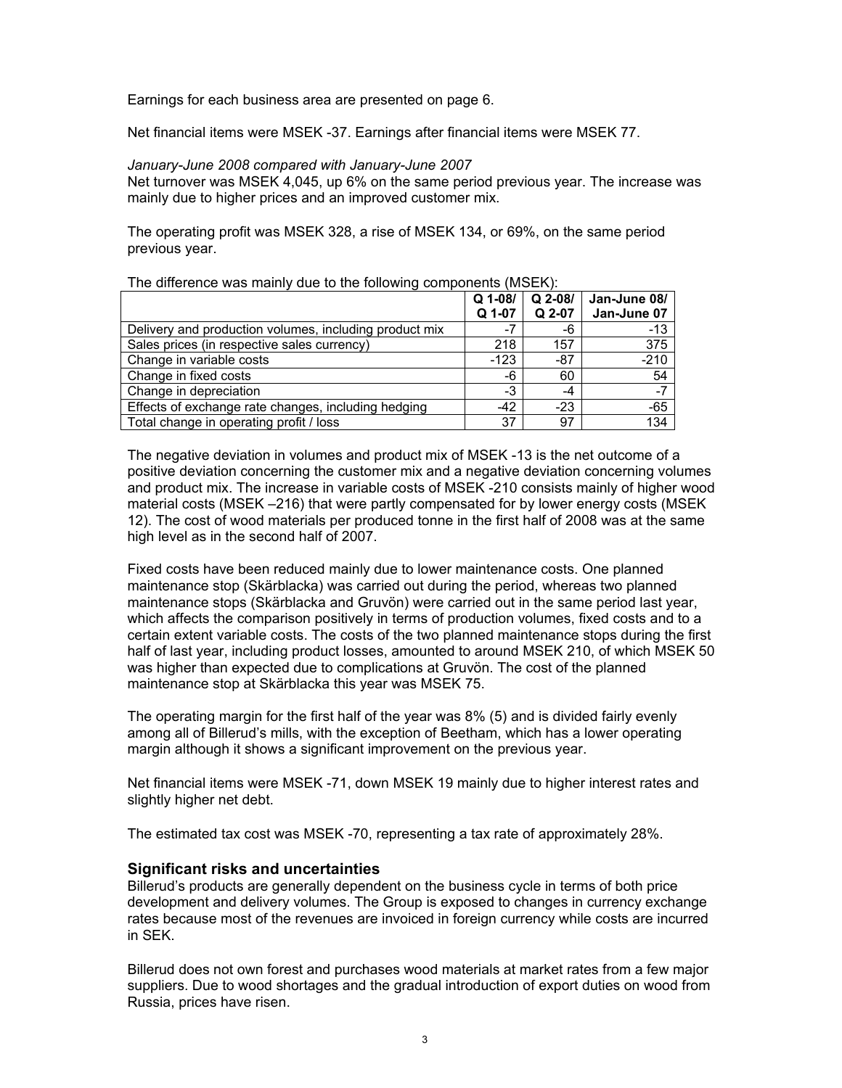Earnings for each business area are presented on page 6.

Net financial items were MSEK -37. Earnings after financial items were MSEK 77.

### *January-June 2008 compared with January-June 2007*

Net turnover was MSEK 4,045, up 6% on the same period previous year. The increase was mainly due to higher prices and an improved customer mix.

The operating profit was MSEK 328, a rise of MSEK 134, or 69%, on the same period previous year.

The difference was mainly due to the following components (MSEK):

|                                                        | $Q$ 1-08/<br>Q 1-07 | $Q$ 2-08/<br>Q 2-07 | Jan-June 08/<br>Jan-June 07 |
|--------------------------------------------------------|---------------------|---------------------|-----------------------------|
|                                                        |                     |                     |                             |
| Delivery and production volumes, including product mix | $-7$                | -6                  | -13                         |
| Sales prices (in respective sales currency)            | 218                 | 157                 | 375                         |
| Change in variable costs                               | $-123$              | $-87$               | $-210$                      |
| Change in fixed costs                                  | -6                  | 60                  | 54                          |
| Change in depreciation                                 | -3                  | -4                  |                             |
| Effects of exchange rate changes, including hedging    | $-42$               | $-23$               | $-65$                       |
| Total change in operating profit / loss                | 37                  | 97                  | 134                         |

The negative deviation in volumes and product mix of MSEK -13 is the net outcome of a positive deviation concerning the customer mix and a negative deviation concerning volumes and product mix. The increase in variable costs of MSEK -210 consists mainly of higher wood material costs (MSEK –216) that were partly compensated for by lower energy costs (MSEK 12). The cost of wood materials per produced tonne in the first half of 2008 was at the same high level as in the second half of 2007.

Fixed costs have been reduced mainly due to lower maintenance costs. One planned maintenance stop (Skärblacka) was carried out during the period, whereas two planned maintenance stops (Skärblacka and Gruvön) were carried out in the same period last year, which affects the comparison positively in terms of production volumes, fixed costs and to a certain extent variable costs. The costs of the two planned maintenance stops during the first half of last year, including product losses, amounted to around MSEK 210, of which MSEK 50 was higher than expected due to complications at Gruvön. The cost of the planned maintenance stop at Skärblacka this year was MSEK 75.

The operating margin for the first half of the year was 8% (5) and is divided fairly evenly among all of Billerud's mills, with the exception of Beetham, which has a lower operating margin although it shows a significant improvement on the previous year.

Net financial items were MSEK -71, down MSEK 19 mainly due to higher interest rates and slightly higher net debt.

The estimated tax cost was MSEK -70, representing a tax rate of approximately 28%.

# **Significant risks and uncertainties**

Billerud's products are generally dependent on the business cycle in terms of both price development and delivery volumes. The Group is exposed to changes in currency exchange rates because most of the revenues are invoiced in foreign currency while costs are incurred in SEK.

Billerud does not own forest and purchases wood materials at market rates from a few major suppliers. Due to wood shortages and the gradual introduction of export duties on wood from Russia, prices have risen.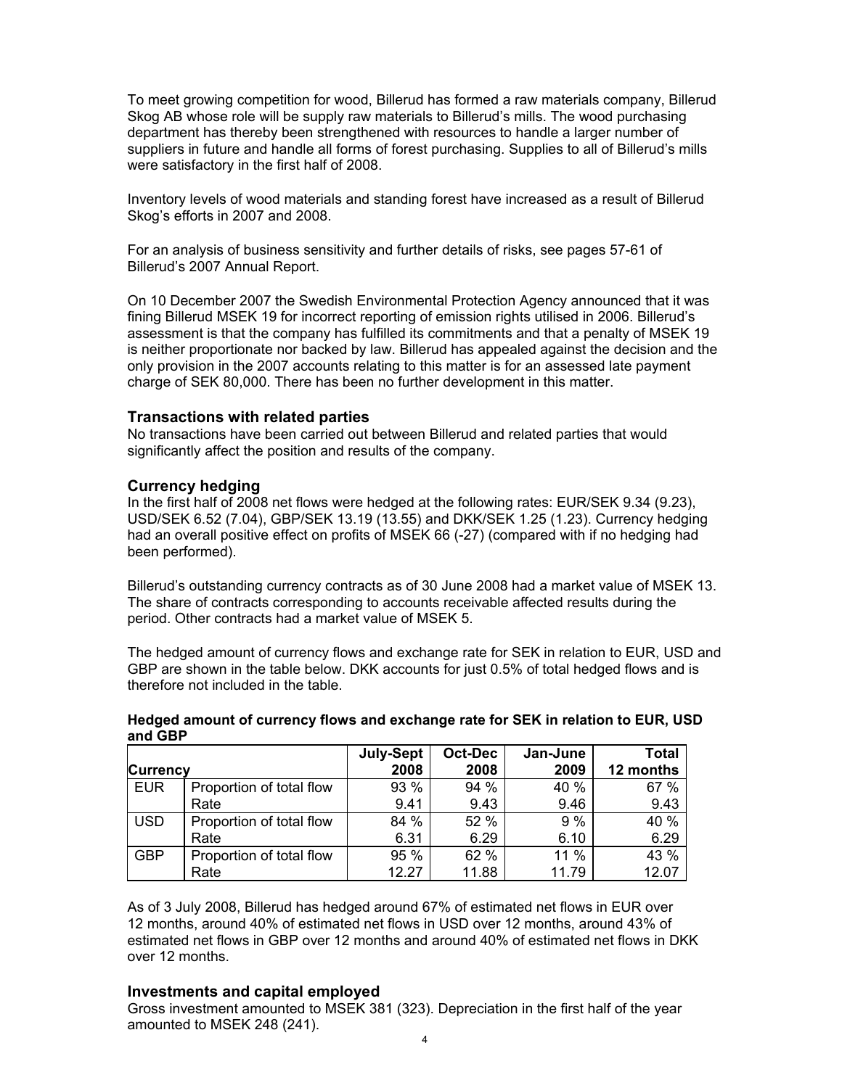To meet growing competition for wood, Billerud has formed a raw materials company, Billerud Skog AB whose role will be supply raw materials to Billerud's mills. The wood purchasing department has thereby been strengthened with resources to handle a larger number of suppliers in future and handle all forms of forest purchasing. Supplies to all of Billerud's mills were satisfactory in the first half of 2008.

Inventory levels of wood materials and standing forest have increased as a result of Billerud Skog's efforts in 2007 and 2008.

For an analysis of business sensitivity and further details of risks, see pages 57-61 of Billerud's 2007 Annual Report.

On 10 December 2007 the Swedish Environmental Protection Agency announced that it was fining Billerud MSEK 19 for incorrect reporting of emission rights utilised in 2006. Billerud's assessment is that the company has fulfilled its commitments and that a penalty of MSEK 19 is neither proportionate nor backed by law. Billerud has appealed against the decision and the only provision in the 2007 accounts relating to this matter is for an assessed late payment charge of SEK 80,000. There has been no further development in this matter.

### **Transactions with related parties**

No transactions have been carried out between Billerud and related parties that would significantly affect the position and results of the company.

### **Currency hedging**

In the first half of 2008 net flows were hedged at the following rates: EUR/SEK 9.34 (9.23), USD/SEK 6.52 (7.04), GBP/SEK 13.19 (13.55) and DKK/SEK 1.25 (1.23). Currency hedging had an overall positive effect on profits of MSEK 66 (-27) (compared with if no hedging had been performed).

Billerud's outstanding currency contracts as of 30 June 2008 had a market value of MSEK 13. The share of contracts corresponding to accounts receivable affected results during the period. Other contracts had a market value of MSEK 5.

The hedged amount of currency flows and exchange rate for SEK in relation to EUR, USD and GBP are shown in the table below. DKK accounts for just 0.5% of total hedged flows and is therefore not included in the table.

| <b>und ver</b>  |                          |                  |         |          |              |
|-----------------|--------------------------|------------------|---------|----------|--------------|
|                 |                          | <b>July-Sept</b> | Oct-Dec | Jan-June | <b>Total</b> |
| <b>Currency</b> |                          | 2008             | 2008    | 2009     | 12 months    |
| <b>EUR</b>      | Proportion of total flow | 93 %             | 94 %    | 40 %     | 67 %         |
|                 | Rate                     | 9.41             | 9.43    | 9.46     | 9.43         |
| <b>USD</b>      | Proportion of total flow | 84 %             | 52 %    | 9%       | 40 %         |
|                 | Rate                     | 6.31             | 6.29    | 6.10     | 6.29         |
| <b>GBP</b>      | Proportion of total flow | 95 %             | 62 %    | 11 %     | 43 %         |
|                 | Rate                     | 12.27            | 11.88   | 11.79    | 12.07        |

### **Hedged amount of currency flows and exchange rate for SEK in relation to EUR, USD and GBP**

As of 3 July 2008, Billerud has hedged around 67% of estimated net flows in EUR over 12 months, around 40% of estimated net flows in USD over 12 months, around 43% of estimated net flows in GBP over 12 months and around 40% of estimated net flows in DKK over 12 months.

# **Investments and capital employed**

Gross investment amounted to MSEK 381 (323). Depreciation in the first half of the year amounted to MSEK 248 (241).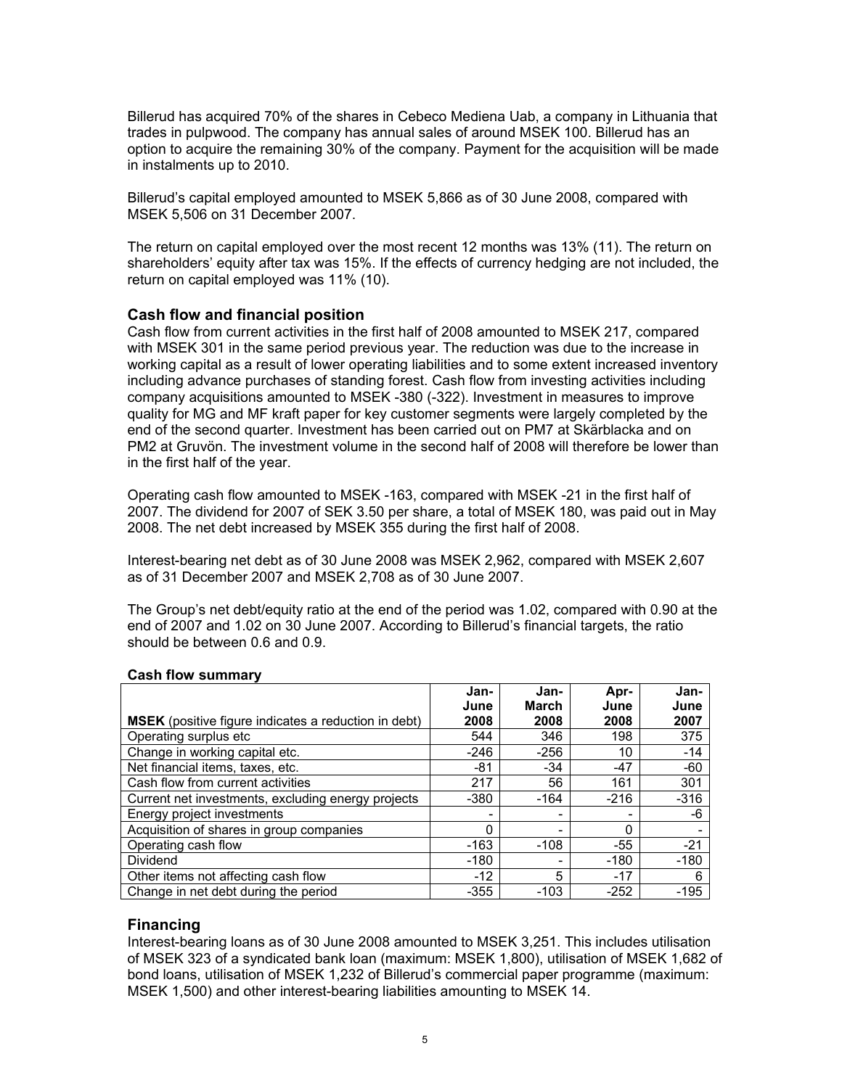Billerud has acquired 70% of the shares in Cebeco Mediena Uab, a company in Lithuania that trades in pulpwood. The company has annual sales of around MSEK 100. Billerud has an option to acquire the remaining 30% of the company. Payment for the acquisition will be made in instalments up to 2010.

Billerud's capital employed amounted to MSEK 5,866 as of 30 June 2008, compared with MSEK 5,506 on 31 December 2007.

The return on capital employed over the most recent 12 months was 13% (11). The return on shareholders' equity after tax was 15%. If the effects of currency hedging are not included, the return on capital employed was 11% (10).

### **Cash flow and financial position**

Cash flow from current activities in the first half of 2008 amounted to MSEK 217, compared with MSEK 301 in the same period previous year. The reduction was due to the increase in working capital as a result of lower operating liabilities and to some extent increased inventory including advance purchases of standing forest. Cash flow from investing activities including company acquisitions amounted to MSEK -380 (-322). Investment in measures to improve quality for MG and MF kraft paper for key customer segments were largely completed by the end of the second quarter. Investment has been carried out on PM7 at Skärblacka and on PM2 at Gruvön. The investment volume in the second half of 2008 will therefore be lower than in the first half of the year.

Operating cash flow amounted to MSEK -163, compared with MSEK -21 in the first half of 2007. The dividend for 2007 of SEK 3.50 per share, a total of MSEK 180, was paid out in May 2008. The net debt increased by MSEK 355 during the first half of 2008.

Interest-bearing net debt as of 30 June 2008 was MSEK 2,962, compared with MSEK 2,607 as of 31 December 2007 and MSEK 2,708 as of 30 June 2007.

The Group's net debt/equity ratio at the end of the period was 1.02, compared with 0.90 at the end of 2007 and 1.02 on 30 June 2007. According to Billerud's financial targets, the ratio should be between 0.6 and 0.9.

|                                                             | Jan-<br>June | Jan-<br>March | Apr-<br>June             | Jan-<br>June |
|-------------------------------------------------------------|--------------|---------------|--------------------------|--------------|
| <b>MSEK</b> (positive figure indicates a reduction in debt) | 2008         | 2008          | 2008                     | 2007         |
| Operating surplus etc                                       | 544          | 346           | 198                      | 375          |
| Change in working capital etc.                              | -246         | $-256$        | 10                       | $-14$        |
| Net financial items, taxes, etc.                            | $-81$        | $-34$         | $-47$                    | $-60$        |
| Cash flow from current activities                           | 217          | 56            | 161                      | 301          |
| Current net investments, excluding energy projects          | $-380$       | $-164$        | $-216$                   | $-316$       |
| Energy project investments                                  | -            |               | $\overline{\phantom{0}}$ | -6           |
| Acquisition of shares in group companies                    | $\Omega$     |               | $\Omega$                 |              |
| Operating cash flow                                         | $-163$       | $-108$        | $-55$                    | $-21$        |
| <b>Dividend</b>                                             | $-180$       |               | -180                     | $-180$       |
| Other items not affecting cash flow                         | $-12$        | 5             | $-17$                    | 6            |
| Change in net debt during the period                        | $-355$       | $-103$        | $-252$                   | $-195$       |

#### **Cash flow summary**

# **Financing**

Interest-bearing loans as of 30 June 2008 amounted to MSEK 3,251. This includes utilisation of MSEK 323 of a syndicated bank loan (maximum: MSEK 1,800), utilisation of MSEK 1,682 of bond loans, utilisation of MSEK 1,232 of Billerud's commercial paper programme (maximum: MSEK 1,500) and other interest-bearing liabilities amounting to MSEK 14.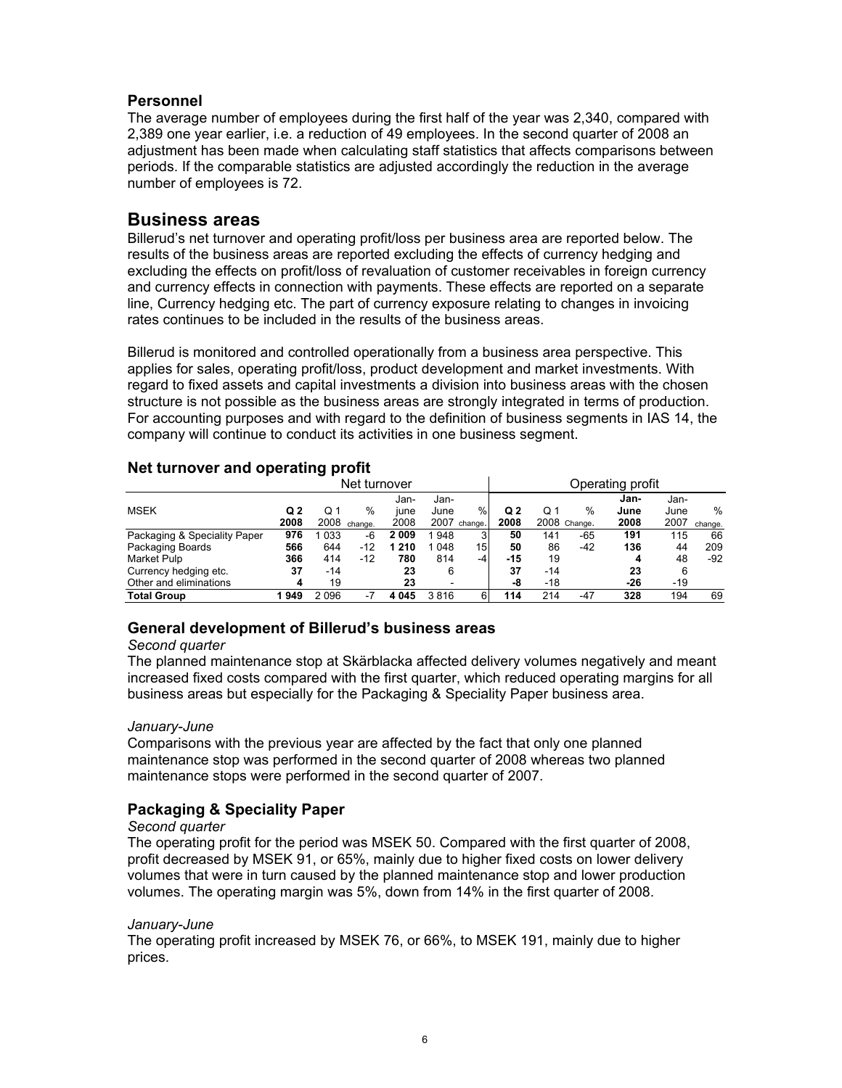# **Personnel**

The average number of employees during the first half of the year was 2,340, compared with 2,389 one year earlier, i.e. a reduction of 49 employees. In the second quarter of 2008 an adjustment has been made when calculating staff statistics that affects comparisons between periods. If the comparable statistics are adjusted accordingly the reduction in the average number of employees is 72.

# **Business areas**

Billerud's net turnover and operating profit/loss per business area are reported below. The results of the business areas are reported excluding the effects of currency hedging and excluding the effects on profit/loss of revaluation of customer receivables in foreign currency and currency effects in connection with payments. These effects are reported on a separate line, Currency hedging etc. The part of currency exposure relating to changes in invoicing rates continues to be included in the results of the business areas.

Billerud is monitored and controlled operationally from a business area perspective. This applies for sales, operating profit/loss, product development and market investments. With regard to fixed assets and capital investments a division into business areas with the chosen structure is not possible as the business areas are strongly integrated in terms of production. For accounting purposes and with regard to the definition of business segments in IAS 14, the company will continue to conduct its activities in one business segment.

| . .                          |      | - -   | Net turnover |         |      |              |       |       |              | Operating profit |       |         |
|------------------------------|------|-------|--------------|---------|------|--------------|-------|-------|--------------|------------------|-------|---------|
|                              |      |       |              | Jan-    | Jan- |              |       |       |              | Jan-             | Jan-  |         |
| <b>MSEK</b>                  | Q2   | Q 1   | %            | june    | June | %            | Q2    | Q 1   | %            | June             | June  | %       |
|                              | 2008 |       | 2008 change. | 2008    |      | 2007 change. | 2008  |       | 2008 Change. | 2008             | 2007  | change. |
| Packaging & Speciality Paper | 976  | 033   | -6           | 2009    | 948  | 3            | 50    | 141   | -65          | 191              | 115   | 66      |
| Packaging Boards             | 566  | 644   | -12          | 1 2 1 0 | 048  | 15           | 50    | 86    | -42          | 136              | 44    | 209     |
| Market Pulp                  | 366  | 414   | $-12$        | 780     | 814  | -4           | $-15$ | 19    |              | 4                | 48    | -92     |
| Currency hedging etc.        | 37   | $-14$ |              | 23      | 6    |              | 37    | $-14$ |              | 23               | 6     |         |
| Other and eliminations       | 4    | 19    |              | 23      | -    |              | -8    | $-18$ |              | $-26$            | $-19$ |         |
| <b>Total Group</b>           | 949  | 2096  | -7           | 4 0 4 5 | 3816 | 6            | 114   | 214   | $-47$        | 328              | 194   | 69      |

# **Net turnover and operating profit**

# **General development of Billerud's business areas**

# *Second quarter*

The planned maintenance stop at Skärblacka affected delivery volumes negatively and meant increased fixed costs compared with the first quarter, which reduced operating margins for all business areas but especially for the Packaging & Speciality Paper business area.

# *January-June*

Comparisons with the previous year are affected by the fact that only one planned maintenance stop was performed in the second quarter of 2008 whereas two planned maintenance stops were performed in the second quarter of 2007.

# **Packaging & Speciality Paper**

# *Second quarter*

The operating profit for the period was MSEK 50. Compared with the first quarter of 2008, profit decreased by MSEK 91, or 65%, mainly due to higher fixed costs on lower delivery volumes that were in turn caused by the planned maintenance stop and lower production volumes. The operating margin was 5%, down from 14% in the first quarter of 2008.

# *January-June*

The operating profit increased by MSEK 76, or 66%, to MSEK 191, mainly due to higher prices.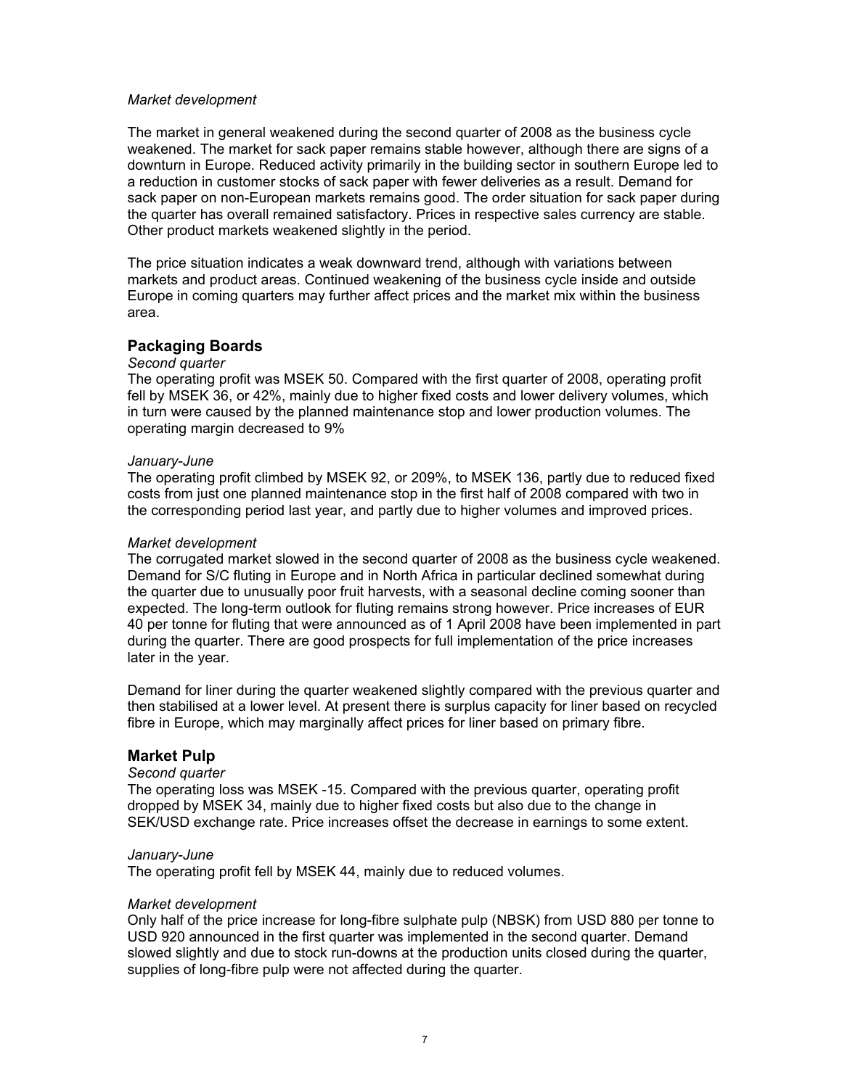#### *Market development*

The market in general weakened during the second quarter of 2008 as the business cycle weakened. The market for sack paper remains stable however, although there are signs of a downturn in Europe. Reduced activity primarily in the building sector in southern Europe led to a reduction in customer stocks of sack paper with fewer deliveries as a result. Demand for sack paper on non-European markets remains good. The order situation for sack paper during the quarter has overall remained satisfactory. Prices in respective sales currency are stable. Other product markets weakened slightly in the period.

The price situation indicates a weak downward trend, although with variations between markets and product areas. Continued weakening of the business cycle inside and outside Europe in coming quarters may further affect prices and the market mix within the business area.

# **Packaging Boards**

# *Second quarter*

The operating profit was MSEK 50. Compared with the first quarter of 2008, operating profit fell by MSEK 36, or 42%, mainly due to higher fixed costs and lower delivery volumes, which in turn were caused by the planned maintenance stop and lower production volumes. The operating margin decreased to 9%

#### *January-June*

The operating profit climbed by MSEK 92, or 209%, to MSEK 136, partly due to reduced fixed costs from just one planned maintenance stop in the first half of 2008 compared with two in the corresponding period last year, and partly due to higher volumes and improved prices.

#### *Market development*

The corrugated market slowed in the second quarter of 2008 as the business cycle weakened. Demand for S/C fluting in Europe and in North Africa in particular declined somewhat during the quarter due to unusually poor fruit harvests, with a seasonal decline coming sooner than expected. The long-term outlook for fluting remains strong however. Price increases of EUR 40 per tonne for fluting that were announced as of 1 April 2008 have been implemented in part during the quarter. There are good prospects for full implementation of the price increases later in the year.

Demand for liner during the quarter weakened slightly compared with the previous quarter and then stabilised at a lower level. At present there is surplus capacity for liner based on recycled fibre in Europe, which may marginally affect prices for liner based on primary fibre.

#### **Market Pulp**

#### *Second quarter*

The operating loss was MSEK -15. Compared with the previous quarter, operating profit dropped by MSEK 34, mainly due to higher fixed costs but also due to the change in SEK/USD exchange rate. Price increases offset the decrease in earnings to some extent.

#### *January-June*

The operating profit fell by MSEK 44, mainly due to reduced volumes.

#### *Market development*

Only half of the price increase for long-fibre sulphate pulp (NBSK) from USD 880 per tonne to USD 920 announced in the first quarter was implemented in the second quarter. Demand slowed slightly and due to stock run-downs at the production units closed during the quarter, supplies of long-fibre pulp were not affected during the quarter.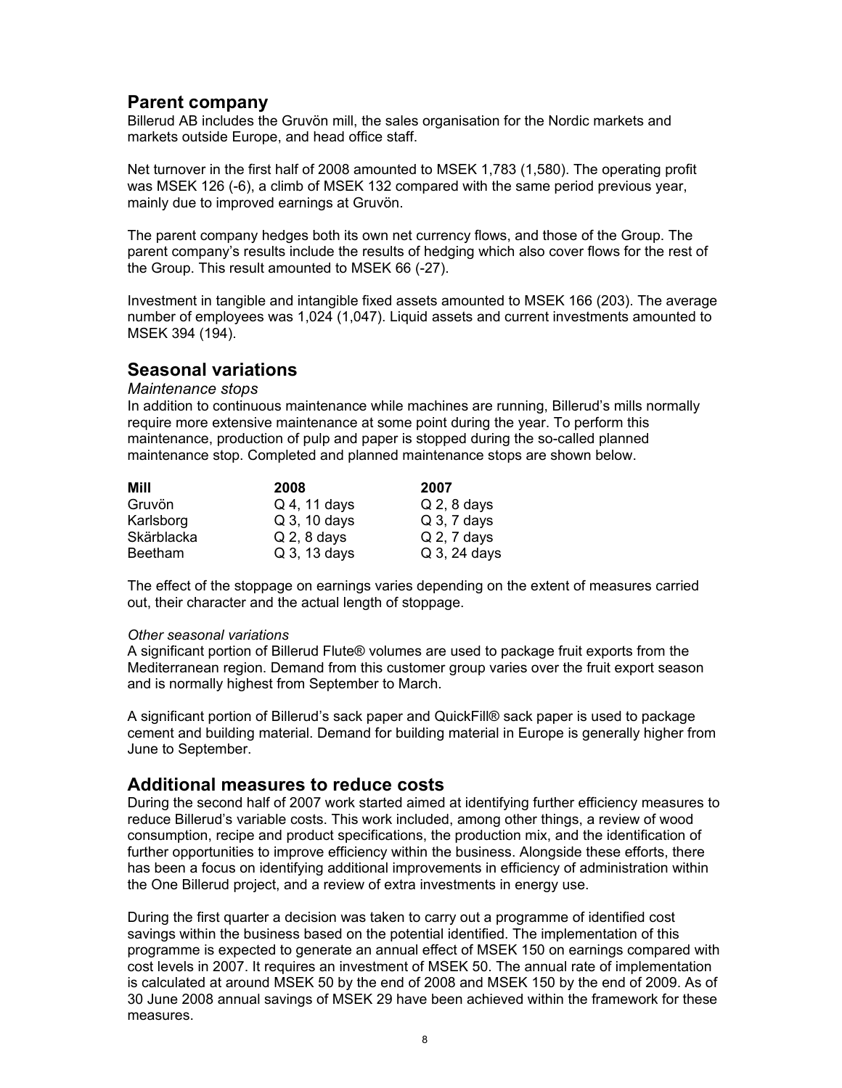# **Parent company**

Billerud AB includes the Gruvön mill, the sales organisation for the Nordic markets and markets outside Europe, and head office staff.

Net turnover in the first half of 2008 amounted to MSEK 1,783 (1,580). The operating profit was MSEK 126 (-6), a climb of MSEK 132 compared with the same period previous year, mainly due to improved earnings at Gruvön.

The parent company hedges both its own net currency flows, and those of the Group. The parent company's results include the results of hedging which also cover flows for the rest of the Group. This result amounted to MSEK 66 (-27).

Investment in tangible and intangible fixed assets amounted to MSEK 166 (203). The average number of employees was 1,024 (1,047). Liquid assets and current investments amounted to MSEK 394 (194).

# **Seasonal variations**

### *Maintenance stops*

In addition to continuous maintenance while machines are running, Billerud's mills normally require more extensive maintenance at some point during the year. To perform this maintenance, production of pulp and paper is stopped during the so-called planned maintenance stop. Completed and planned maintenance stops are shown below.

| Mill           | 2008          | 2007          |
|----------------|---------------|---------------|
| Gruvön         | Q 4, 11 days  | $Q$ 2, 8 days |
| Karlsborg      | Q 3, 10 days  | $Q$ 3, 7 days |
| Skärblacka     | $Q$ 2, 8 days | $Q$ 2, 7 days |
| <b>Beetham</b> | Q 3, 13 days  | Q 3, 24 days  |

The effect of the stoppage on earnings varies depending on the extent of measures carried out, their character and the actual length of stoppage.

#### *Other seasonal variations*

A significant portion of Billerud Flute® volumes are used to package fruit exports from the Mediterranean region. Demand from this customer group varies over the fruit export season and is normally highest from September to March.

A significant portion of Billerud's sack paper and QuickFill® sack paper is used to package cement and building material. Demand for building material in Europe is generally higher from June to September.

# **Additional measures to reduce costs**

During the second half of 2007 work started aimed at identifying further efficiency measures to reduce Billerud's variable costs. This work included, among other things, a review of wood consumption, recipe and product specifications, the production mix, and the identification of further opportunities to improve efficiency within the business. Alongside these efforts, there has been a focus on identifying additional improvements in efficiency of administration within the One Billerud project, and a review of extra investments in energy use.

During the first quarter a decision was taken to carry out a programme of identified cost savings within the business based on the potential identified. The implementation of this programme is expected to generate an annual effect of MSEK 150 on earnings compared with cost levels in 2007. It requires an investment of MSEK 50. The annual rate of implementation is calculated at around MSEK 50 by the end of 2008 and MSEK 150 by the end of 2009. As of 30 June 2008 annual savings of MSEK 29 have been achieved within the framework for these measures.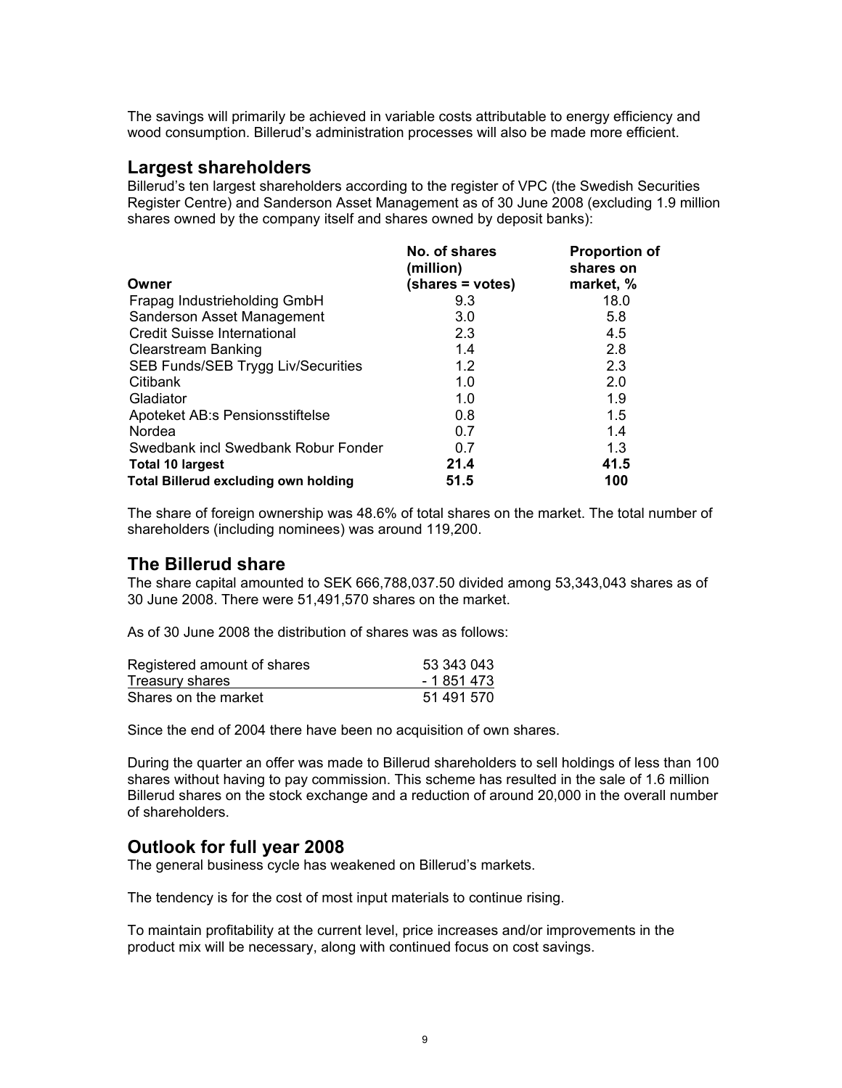The savings will primarily be achieved in variable costs attributable to energy efficiency and wood consumption. Billerud's administration processes will also be made more efficient.

# **Largest shareholders**

Billerud's ten largest shareholders according to the register of VPC (the Swedish Securities Register Centre) and Sanderson Asset Management as of 30 June 2008 (excluding 1.9 million shares owned by the company itself and shares owned by deposit banks):

|                                             | No. of shares<br>(million) | <b>Proportion of</b><br>shares on |
|---------------------------------------------|----------------------------|-----------------------------------|
| Owner                                       | (shares = votes)           | market, %                         |
| Frapag Industrieholding GmbH                | 9.3                        | 18.0                              |
| Sanderson Asset Management                  | 3.0                        | 5.8                               |
| <b>Credit Suisse International</b>          | 2.3                        | 4.5                               |
| <b>Clearstream Banking</b>                  | 1.4                        | 2.8                               |
| <b>SEB Funds/SEB Trygg Liv/Securities</b>   | 1.2                        | 2.3                               |
| Citibank                                    | 1.0                        | 2.0                               |
| Gladiator                                   | 1.0                        | 1.9                               |
| Apoteket AB:s Pensionsstiftelse             | 0.8                        | 1.5                               |
| Nordea                                      | 0.7                        | 1.4                               |
| Swedbank incl Swedbank Robur Fonder         | 0.7                        | 1.3                               |
| <b>Total 10 largest</b>                     | 21.4                       | 41.5                              |
| <b>Total Billerud excluding own holding</b> | 51.5                       | 100                               |

The share of foreign ownership was 48.6% of total shares on the market. The total number of shareholders (including nominees) was around 119,200.

# **The Billerud share**

The share capital amounted to SEK 666,788,037.50 divided among 53,343,043 shares as of 30 June 2008. There were 51,491,570 shares on the market.

As of 30 June 2008 the distribution of shares was as follows:

| Registered amount of shares | 53 343 043  |
|-----------------------------|-------------|
| Treasury shares             | - 1 851 473 |
| Shares on the market        | 51 491 570  |

Since the end of 2004 there have been no acquisition of own shares.

During the quarter an offer was made to Billerud shareholders to sell holdings of less than 100 shares without having to pay commission. This scheme has resulted in the sale of 1.6 million Billerud shares on the stock exchange and a reduction of around 20,000 in the overall number of shareholders.

# **Outlook for full year 2008**

The general business cycle has weakened on Billerud's markets.

The tendency is for the cost of most input materials to continue rising.

To maintain profitability at the current level, price increases and/or improvements in the product mix will be necessary, along with continued focus on cost savings.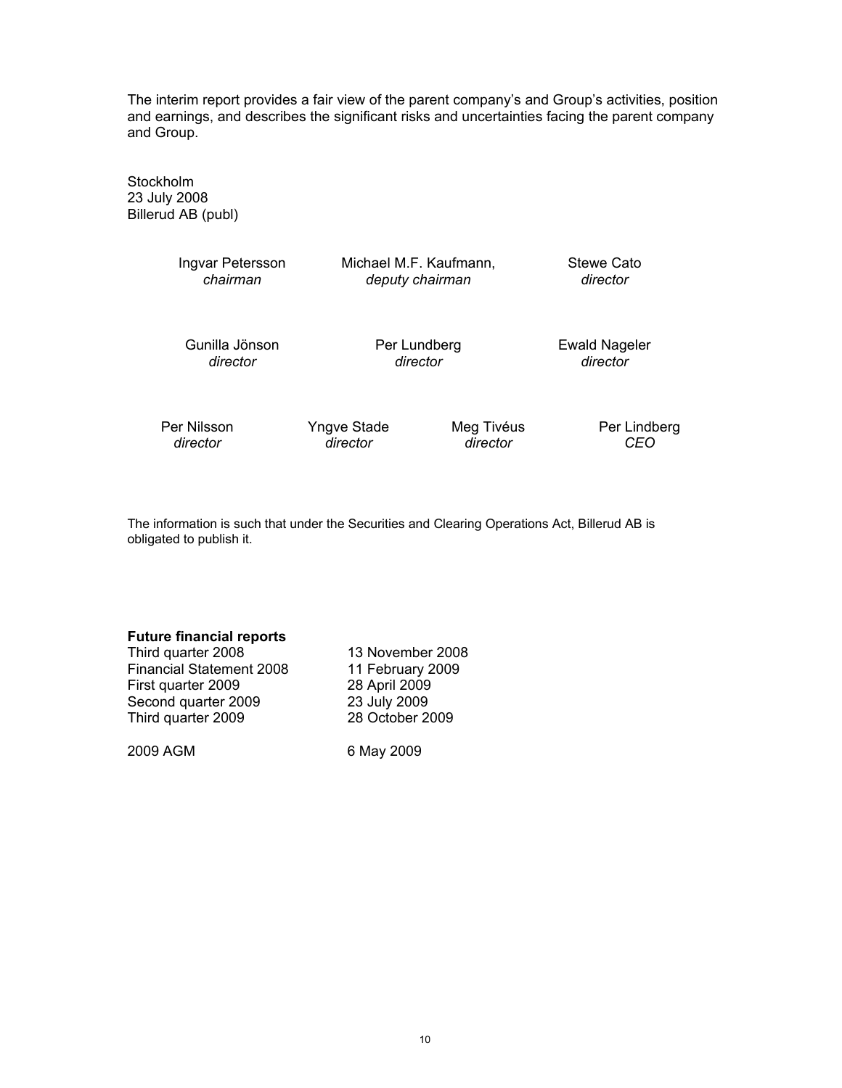The interim report provides a fair view of the parent company's and Group's activities, position and earnings, and describes the significant risks and uncertainties facing the parent company and Group.

Stockholm 23 July 2008 Billerud AB (publ)

| Ingvar Petersson<br>chairman |              | Michael M.F. Kaufmann,<br>deputy chairman |                                  |  |  |  |
|------------------------------|--------------|-------------------------------------------|----------------------------------|--|--|--|
| Gunilla Jönson<br>director   | Per Lundberg | director                                  | <b>Ewald Nageler</b><br>director |  |  |  |
| Per Nilsson                  | Yngve Stade  | Meg Tivéus                                | Per Lindberg                     |  |  |  |

The information is such that under the Securities and Clearing Operations Act, Billerud AB is obligated to publish it.

 *director director director CEO* 

#### **Future financial reports**

Third quarter 2008 13 November 2008 Financial Statement 2008 11 February 2009 First quarter 2009 28 April 2009 Second quarter 2009<br>
Third quarter 2009<br>
28 October 2009 Third quarter 2009

2009 AGM 6 May 2009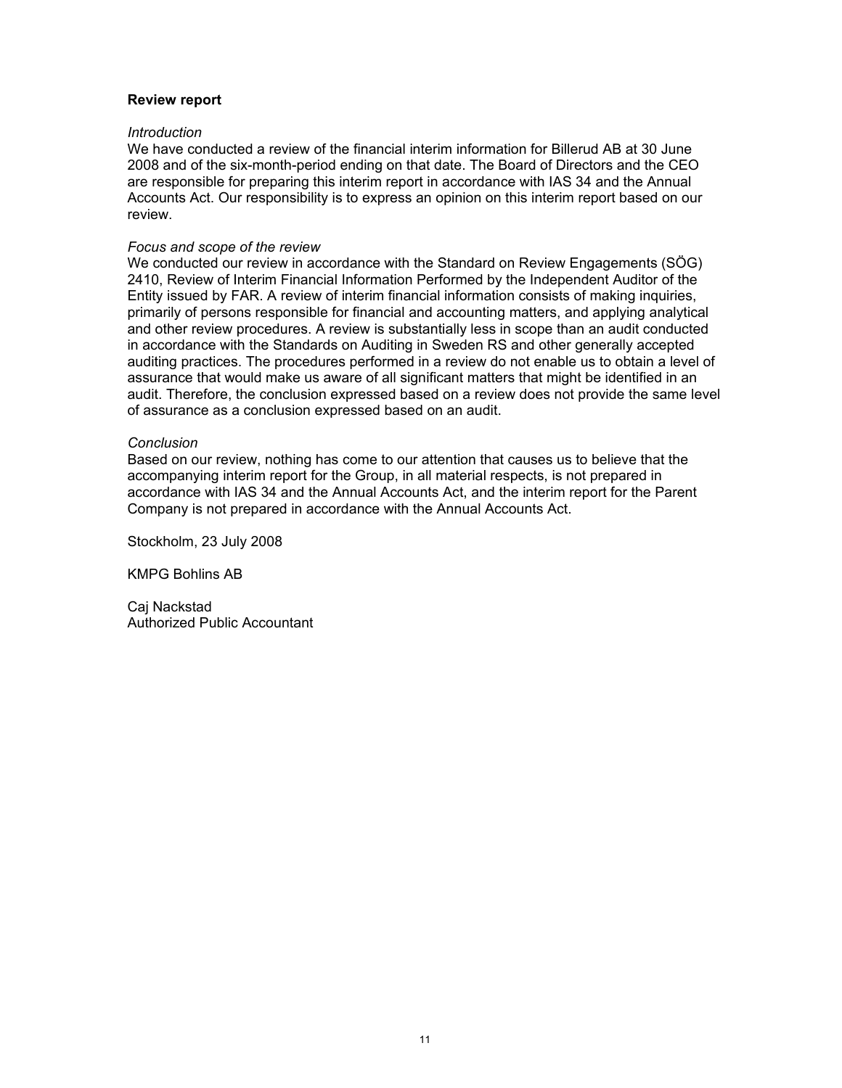### **Review report**

#### *Introduction*

We have conducted a review of the financial interim information for Billerud AB at 30 June 2008 and of the six-month-period ending on that date. The Board of Directors and the CEO are responsible for preparing this interim report in accordance with IAS 34 and the Annual Accounts Act. Our responsibility is to express an opinion on this interim report based on our review.

#### *Focus and scope of the review*

We conducted our review in accordance with the Standard on Review Engagements (SÖG) 2410, Review of Interim Financial Information Performed by the Independent Auditor of the Entity issued by FAR. A review of interim financial information consists of making inquiries, primarily of persons responsible for financial and accounting matters, and applying analytical and other review procedures. A review is substantially less in scope than an audit conducted in accordance with the Standards on Auditing in Sweden RS and other generally accepted auditing practices. The procedures performed in a review do not enable us to obtain a level of assurance that would make us aware of all significant matters that might be identified in an audit. Therefore, the conclusion expressed based on a review does not provide the same level of assurance as a conclusion expressed based on an audit.

#### *Conclusion*

Based on our review, nothing has come to our attention that causes us to believe that the accompanying interim report for the Group, in all material respects, is not prepared in accordance with IAS 34 and the Annual Accounts Act, and the interim report for the Parent Company is not prepared in accordance with the Annual Accounts Act.

Stockholm, 23 July 2008

KMPG Bohlins AB

Caj Nackstad Authorized Public Accountant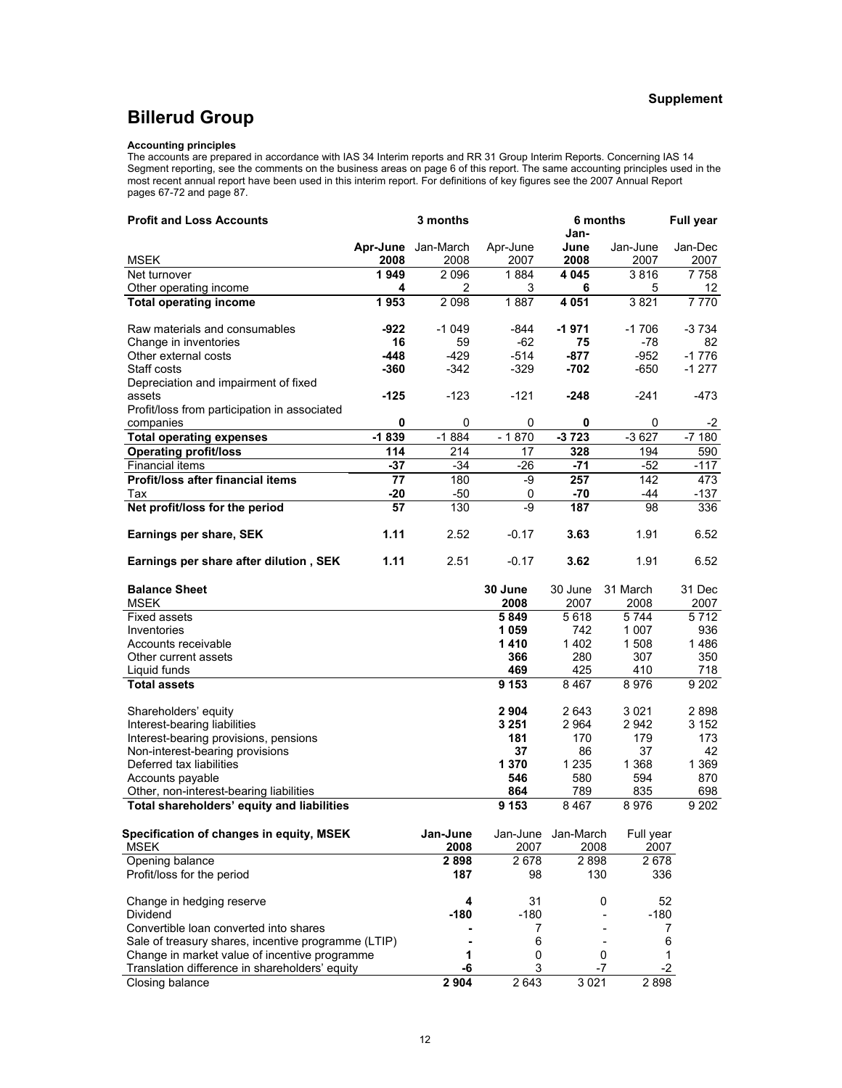#### **Supplement**

# **Billerud Group**

#### **Accounting principles**

The accounts are prepared in accordance with IAS 34 Interim reports and RR 31 Group Interim Reports. Concerning IAS 14 Segment reporting, see the comments on the business areas on page 6 of this report. The same accounting principles used in the most recent annual report have been used in this interim report. For definitions of key figures see the 2007 Annual Report pages 67-72 and page 87.

| <b>Profit and Loss Accounts</b>                     | 3 months  |           |           | 6 months     |              |                |  |
|-----------------------------------------------------|-----------|-----------|-----------|--------------|--------------|----------------|--|
|                                                     |           |           |           | Jan-         |              |                |  |
|                                                     | Apr-June  | Jan-March | Apr-June  | June         | Jan-June     | Jan-Dec        |  |
| <b>MSEK</b>                                         | 2008      | 2008      | 2007      | 2008         | 2007         | 2007           |  |
| Net turnover                                        | 1949<br>4 | 2096<br>2 | 1884<br>3 | 4 0 4 5<br>6 | 3816         | 7758           |  |
| Other operating income                              | 1953      | 2 0 9 8   | 1887      | 4 0 5 1      | 5<br>3821    | 12<br>$7\,770$ |  |
| <b>Total operating income</b>                       |           |           |           |              |              |                |  |
| Raw materials and consumables                       | $-922$    | $-1049$   | -844      | $-1971$      | $-1706$      | -3 734         |  |
| Change in inventories                               | 16        | 59        | -62       | 75           | -78          | 82             |  |
| Other external costs                                | -448      | $-429$    | $-514$    | $-877$       | $-952$       | $-1776$        |  |
| Staff costs                                         | $-360$    | $-342$    | $-329$    | $-702$       | $-650$       | $-1277$        |  |
| Depreciation and impairment of fixed                |           |           |           |              |              |                |  |
| assets                                              | $-125$    | $-123$    | $-121$    | -248         | $-241$       | -473           |  |
| Profit/loss from participation in associated        |           |           |           |              |              |                |  |
| companies                                           | 0         | 0         | 0         | 0            | 0            | -2             |  |
| <b>Total operating expenses</b>                     | $-1839$   | $-1884$   | $-1870$   | $-3723$      | $-3627$      | $-7180$        |  |
| <b>Operating profit/loss</b>                        | 114       | 214       | 17        | 328          | 194          | 590            |  |
| <b>Financial items</b>                              | $-37$     | $-34$     | $-26$     | $-71$        | $-52$        | $-117$         |  |
| Profit/loss after financial items                   | 77        | 180       | -9        | 257          | 142          | 473            |  |
| Tax                                                 | $-20$     | $-50$     | 0         | $-70$        | -44          | -137           |  |
| Net profit/loss for the period                      | 57        | 130       | -9        | 187          | 98           | 336            |  |
|                                                     |           |           |           |              |              |                |  |
| Earnings per share, SEK                             | 1.11      | 2.52      | $-0.17$   | 3.63         | 1.91         | 6.52           |  |
|                                                     |           |           |           |              |              |                |  |
| Earnings per share after dilution, SEK              | 1.11      | 2.51      | $-0.17$   | 3.62         | 1.91         | 6.52           |  |
|                                                     |           |           | 30 June   |              | 31 March     |                |  |
| <b>Balance Sheet</b>                                |           |           | 2008      | 30 June      |              | 31 Dec         |  |
| MSEK<br><b>Fixed assets</b>                         |           |           | 5849      | 2007<br>5618 | 2008<br>5744 | 2007<br>5712   |  |
| Inventories                                         |           |           | 1059      | 742          | 1 0 0 7      | 936            |  |
| Accounts receivable                                 |           |           | 1410      | 1402         | 1508         | 1486           |  |
| Other current assets                                |           |           | 366       | 280          | 307          | 350            |  |
| Liquid funds                                        |           |           | 469       | 425          | 410          | 718            |  |
| <b>Total assets</b>                                 |           |           | 9 1 5 3   | 8467         | 8976         | 9 2 0 2        |  |
|                                                     |           |           |           |              |              |                |  |
| Shareholders' equity                                |           |           | 2904      | 2643         | 3 0 21       | 2898           |  |
| Interest-bearing liabilities                        |           |           | 3 2 5 1   | 2964         | 2942         | 3 152          |  |
| Interest-bearing provisions, pensions               |           |           | 181       | 170          | 179          | 173            |  |
| Non-interest-bearing provisions                     |           |           | 37        | 86           | 37           | 42             |  |
| Deferred tax liabilities                            |           |           | 1 3 7 0   | 1 2 3 5      | 1 3 6 8      | 1 3 6 9        |  |
| Accounts payable                                    |           |           | 546       | 580          | 594          | 870            |  |
| Other, non-interest-bearing liabilities             |           |           | 864       | 789          | 835          | 698            |  |
| Total shareholders' equity and liabilities          |           |           | 9 1 5 3   | 8467         | 8976         | 9 2 0 2        |  |
|                                                     |           |           |           |              |              |                |  |
| Specification of changes in equity, MSEK            |           | Jan-June  | Jan-June  | Jan-March    | Full year    |                |  |
| MSEK                                                |           | 2008      | 2007      | 2008         | 2007         |                |  |
| Opening balance                                     |           | 2898      | 2678      | 2898         | 2678         |                |  |
| Profit/loss for the period                          |           | 187       | 98        | 130          | 336          |                |  |
| Change in hedging reserve                           |           | 4         | 31        |              | 52<br>0      |                |  |
| <b>Dividend</b>                                     |           | $-180$    | $-180$    |              | $-180$       |                |  |
| Convertible loan converted into shares              |           |           | 7         |              |              | 7              |  |
| Sale of treasury shares, incentive programme (LTIP) |           |           | 6         |              | $\sim$       | 6              |  |
| Change in market value of incentive programme       |           | 1         | 0         |              | 0            | 1              |  |
| Translation difference in shareholders' equity      |           | -6        | 3         |              | -7           | $-2$           |  |
| Closing balance                                     |           | 2 9 0 4   | 2 6 4 3   | 3 0 21       | 2898         |                |  |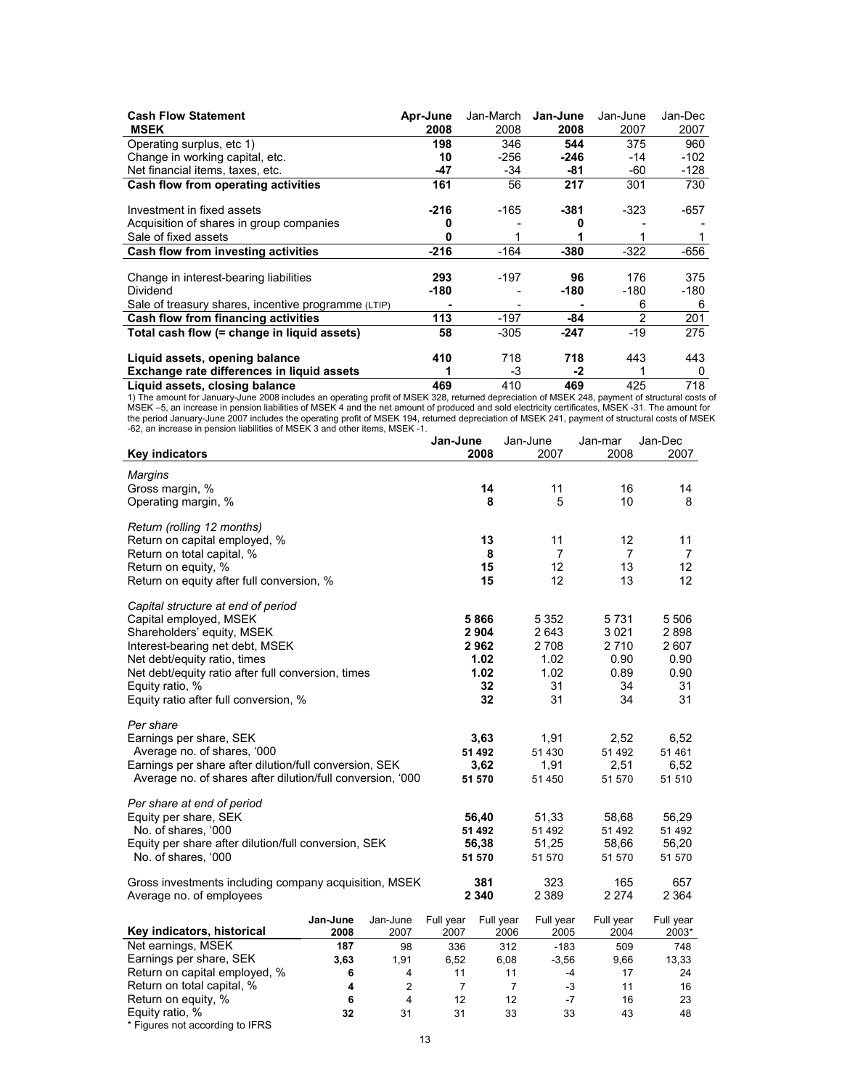| <b>Cash Flow Statement</b>                          | Apr-June | Jan-March | Jan-June | Jan-June       | Jan-Dec |
|-----------------------------------------------------|----------|-----------|----------|----------------|---------|
| <b>MSEK</b>                                         | 2008     | 2008      | 2008     | 2007           | 2007    |
| Operating surplus, etc 1)                           | 198      | 346       | 544      | 375            | 960     |
| Change in working capital, etc.                     | 10       | $-256$    | $-246$   | $-14$          | $-102$  |
| Net financial items, taxes, etc.                    | -47      | -34       | -81      | -60            | -128    |
| Cash flow from operating activities                 | 161      | 56        | 217      | 301            | 730     |
|                                                     |          |           |          |                |         |
| Investment in fixed assets                          | $-216$   | $-165$    | $-381$   | $-323$         | -657    |
| Acquisition of shares in group companies            |          |           |          |                |         |
| Sale of fixed assets                                | o        |           |          |                |         |
| Cash flow from investing activities                 | $-216$   | $-164$    | $-380$   | $-322$         | -656    |
|                                                     |          |           |          |                |         |
| Change in interest-bearing liabilities              | 293      | $-197$    | 96       | 176            | 375     |
| Dividend                                            | $-180$   |           | -180     | -180           | -180    |
| Sale of treasury shares, incentive programme (LTIP) |          |           |          | 6              | 6       |
| Cash flow from financing activities                 | 113      | $-197$    | -84      | $\overline{2}$ | 201     |
| Total cash flow (= change in liquid assets)         | 58       | $-305$    | -247     | $-19$          | 275     |
| Liquid assets, opening balance                      | 410      | 718       | 718      | 443            | 443     |
| Exchange rate differences in liquid assets          |          | -3        | -2       |                | 0       |
| Liquid assets, closing balance                      | 469      | 410       | 469      | 425            | 718     |

Liquid assets, closing balance<br>
1) The amount for January-June 2008 includes an operating profit of MSEK 328, returned depreciation of MSEK 248, payment of structural costs of<br>
MSEK -5, an increase in pension liabilities o

|                                                                                                                                                                                                                                                                                 |                  |                         | Jan-June          |                                                     | Jan-June                                               | Jan-mar                                            | Jan-Dec                                             |
|---------------------------------------------------------------------------------------------------------------------------------------------------------------------------------------------------------------------------------------------------------------------------------|------------------|-------------------------|-------------------|-----------------------------------------------------|--------------------------------------------------------|----------------------------------------------------|-----------------------------------------------------|
| <b>Key indicators</b>                                                                                                                                                                                                                                                           |                  |                         |                   | 2008                                                | 2007                                                   | 2008                                               | 2007                                                |
| <b>Margins</b><br>Gross margin, %<br>Operating margin, %                                                                                                                                                                                                                        |                  |                         |                   | 14<br>8                                             | 11<br>5                                                | 16<br>10                                           | 14<br>8                                             |
| Return (rolling 12 months)<br>Return on capital employed, %<br>Return on total capital, %<br>Return on equity, %<br>Return on equity after full conversion, %                                                                                                                   |                  |                         |                   | 13<br>8<br>15<br>15                                 | 11<br>$\overline{7}$<br>12<br>12                       | 12<br>7<br>13<br>13                                | 11<br>7<br>12<br>12                                 |
| Capital structure at end of period<br>Capital employed, MSEK<br>Shareholders' equity, MSEK<br>Interest-bearing net debt, MSEK<br>Net debt/equity ratio, times<br>Net debt/equity ratio after full conversion, times<br>Equity ratio, %<br>Equity ratio after full conversion, % |                  |                         |                   | 5866<br>2 9 0 4<br>2962<br>1.02<br>1.02<br>32<br>32 | 5 3 5 2<br>2643<br>2 7 0 8<br>1.02<br>1.02<br>31<br>31 | 5731<br>3 0 21<br>2710<br>0.90<br>0.89<br>34<br>34 | 5 5 0 6<br>2898<br>2607<br>0.90<br>0.90<br>31<br>31 |
| Per share<br>Earnings per share, SEK<br>Average no. of shares, '000<br>Earnings per share after dilution/full conversion, SEK<br>Average no. of shares after dilution/full conversion, '000                                                                                     |                  |                         |                   | 3,63<br>51 492<br>3,62<br>51 570                    | 1,91<br>51 430<br>1,91<br>51 450                       | 2,52<br>51 492<br>2,51<br>51 570                   | 6,52<br>51 461<br>6,52<br>51 510                    |
| Per share at end of period<br>Equity per share, SEK<br>No. of shares, '000<br>Equity per share after dilution/full conversion, SEK<br>No. of shares, '000                                                                                                                       |                  |                         |                   | 56,40<br>51 492<br>56,38<br>51 570                  | 51,33<br>51 492<br>51,25<br>51 570                     | 58,68<br>51 492<br>58,66<br>51 570                 | 56,29<br>51 492<br>56,20<br>51 570                  |
| Gross investments including company acquisition, MSEK<br>Average no. of employees                                                                                                                                                                                               |                  |                         |                   | 381<br>2 3 4 0                                      | 323<br>2 3 8 9                                         | 165<br>2 2 7 4                                     | 657<br>2 3 6 4                                      |
| Key indicators, historical                                                                                                                                                                                                                                                      | Jan-June<br>2008 | Jan-June<br>2007        | Full year<br>2007 | Full year<br>2006                                   | Full year<br>2005                                      | Full year<br>2004                                  | Full year<br>2003*                                  |
| Net earnings, MSEK                                                                                                                                                                                                                                                              | 187              | 98                      | 336               |                                                     | 312<br>$-183$                                          | 509                                                | 748                                                 |
| Earnings per share, SEK                                                                                                                                                                                                                                                         | 3,63             | 1,91                    | 6,52              | 6,08                                                | $-3,56$                                                | 9,66                                               | 13,33                                               |
| Return on capital employed, %                                                                                                                                                                                                                                                   | 6                | 4                       | 11                |                                                     | 11<br>$-4$                                             | 17                                                 | 24                                                  |
| Return on total capital, %                                                                                                                                                                                                                                                      | 4                | $\overline{2}$          | $\overline{7}$    |                                                     | $\overline{7}$<br>-3                                   | 11                                                 | 16                                                  |
| Return on equity, %                                                                                                                                                                                                                                                             | 6                | $\overline{\mathbf{4}}$ | 12                |                                                     | 12<br>$-7$                                             | 16                                                 | 23                                                  |
| Equity ratio, %                                                                                                                                                                                                                                                                 | 32               | 31                      | 31                |                                                     | 33<br>33                                               | 43                                                 | 48                                                  |

\* Figures not according to IFRS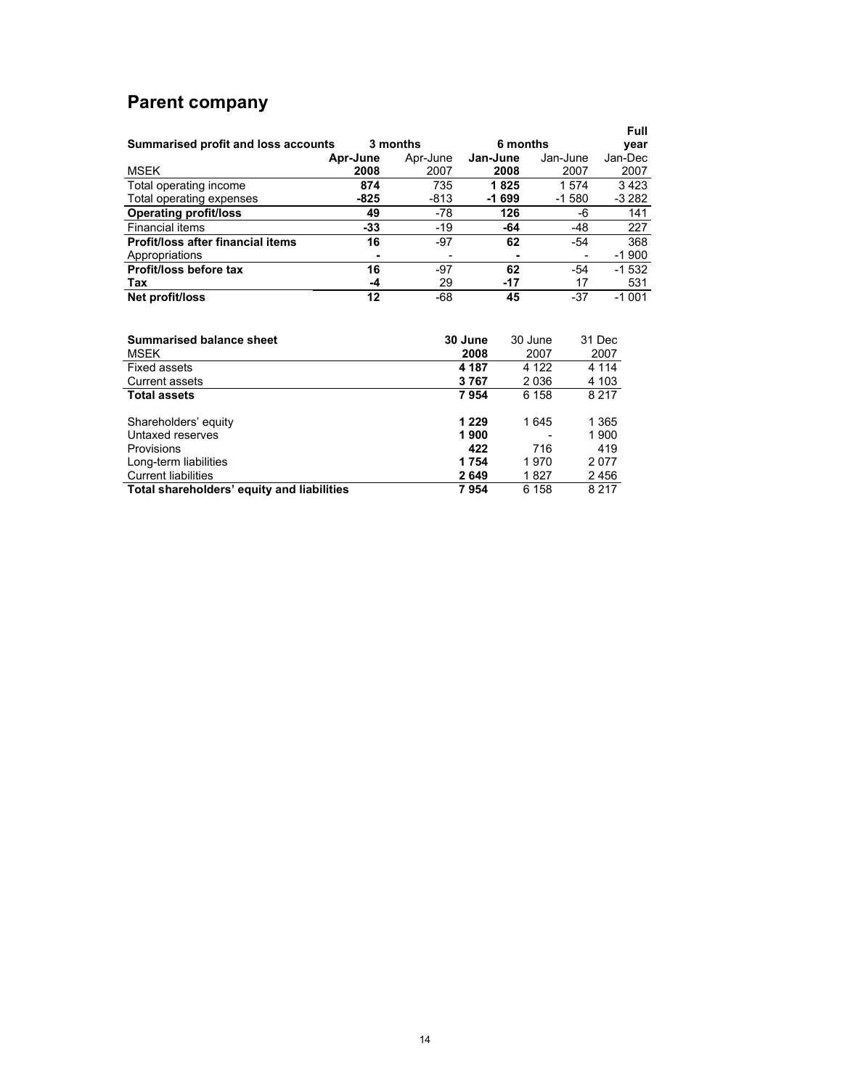# **Parent company**

| Summarised profit and loss accounts |          | 3 months | 6 months       |          | Full<br>vear |
|-------------------------------------|----------|----------|----------------|----------|--------------|
|                                     | Apr-June | Apr-June | Jan-June       | Jan-June | Jan-Dec      |
| <b>MSEK</b>                         | 2008     | 2007     | 2008           | 2007     | 2007         |
| Total operating income              | 874      | 735      | 1825           | 1574     | 3423         |
| Total operating expenses            | -825     | -813     | $-1699$        | $-1580$  | -3 282       |
| <b>Operating profit/loss</b>        | 49       | -78      | 126            | -6       | 141          |
| Financial items                     | $-33$    | $-19$    | -64            | $-48$    | 227          |
| Profit/loss after financial items   | 16       | $-97$    | 62             | -54      | 368          |
| Appropriations                      |          |          | $\blacksquare$ |          | $-1900$      |
| Profit/loss before tax              | 16       | $-97$    | 62             | -54      | $-1.532$     |
| Tax                                 | -4       | 29       | $-17$          | 17       | 531          |
| Net profit/loss                     | 12       | -68      | 45             | $-37$    | $-1001$      |

| <b>Summarised balance sheet</b>            | 30 June | 30 June | 31 Dec  |
|--------------------------------------------|---------|---------|---------|
| <b>MSEK</b>                                | 2008    | 2007    | 2007    |
| <b>Fixed assets</b>                        | 4 187   | 4 1 2 2 | 4 1 1 4 |
| <b>Current assets</b>                      | 3767    | 2036    | 4 103   |
| <b>Total assets</b>                        | 7954    | 6 158   | 8 2 1 7 |
| Shareholders' equity                       | 1 2 2 9 | 1645    | 1 3 6 5 |
| Untaxed reserves                           | 1900    |         | 1900    |
| <b>Provisions</b>                          | 422     | 716     | 419     |
| Long-term liabilities                      | 1754    | 1970    | 2077    |
| <b>Current liabilities</b>                 | 2649    | 1827    | 2456    |
| Total shareholders' equity and liabilities | 7954    | 6 158   | 8 2 1 7 |